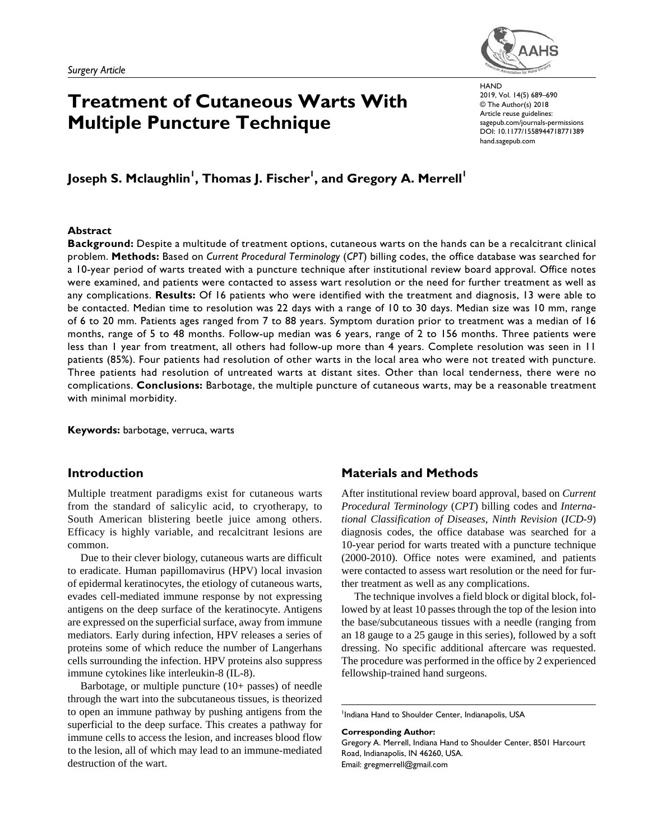

# **Treatment of Cutaneous Warts With Multiple Puncture Technique**

https://doi.org/10.1177/1558944718771389 DOI: 10.1177/1558944718771389 **HAND** 2019, Vol. 14(5) 689–690 © The Author(s) 2018 Article reuse guidelines: [sagepub.com/journals-permissions](https://us.sagepub.com/en-us/journals-permissions) [hand.sagepub.com](http://hand.sagepub.com)

# Joseph S. Mclaughlin<sup>I</sup>, Thomas J. Fischer<sup>I</sup>, and Gregory A. Merrell<sup>I</sup>

### **Abstract**

**Background:** Despite a multitude of treatment options, cutaneous warts on the hands can be a recalcitrant clinical problem. **Methods:** Based on *Current Procedural Terminology* (*CPT*) billing codes, the office database was searched for a 10-year period of warts treated with a puncture technique after institutional review board approval. Office notes were examined, and patients were contacted to assess wart resolution or the need for further treatment as well as any complications. **Results:** Of 16 patients who were identified with the treatment and diagnosis, 13 were able to be contacted. Median time to resolution was 22 days with a range of 10 to 30 days. Median size was 10 mm, range of 6 to 20 mm. Patients ages ranged from 7 to 88 years. Symptom duration prior to treatment was a median of 16 months, range of 5 to 48 months. Follow-up median was 6 years, range of 2 to 156 months. Three patients were less than 1 year from treatment, all others had follow-up more than 4 years. Complete resolution was seen in 11 patients (85%). Four patients had resolution of other warts in the local area who were not treated with puncture. Three patients had resolution of untreated warts at distant sites. Other than local tenderness, there were no complications. **Conclusions:** Barbotage, the multiple puncture of cutaneous warts, may be a reasonable treatment with minimal morbidity.

**Keywords:** barbotage, verruca, warts

# **Introduction**

Multiple treatment paradigms exist for cutaneous warts from the standard of salicylic acid, to cryotherapy, to South American blistering beetle juice among others. Efficacy is highly variable, and recalcitrant lesions are common.

Due to their clever biology, cutaneous warts are difficult to eradicate. Human papillomavirus (HPV) local invasion of epidermal keratinocytes, the etiology of cutaneous warts, evades cell-mediated immune response by not expressing antigens on the deep surface of the keratinocyte. Antigens are expressed on the superficial surface, away from immune mediators. Early during infection, HPV releases a series of proteins some of which reduce the number of Langerhans cells surrounding the infection. HPV proteins also suppress immune cytokines like interleukin-8 (IL-8).

Barbotage, or multiple puncture (10+ passes) of needle through the wart into the subcutaneous tissues, is theorized to open an immune pathway by pushing antigens from the superficial to the deep surface. This creates a pathway for immune cells to access the lesion, and increases blood flow to the lesion, all of which may lead to an immune-mediated destruction of the wart.

# **Materials and Methods**

After institutional review board approval, based on *Current Procedural Terminology* (*CPT*) billing codes and *International Classification of Diseases, Ninth Revision* (*ICD-9*) diagnosis codes, the office database was searched for a 10-year period for warts treated with a puncture technique (2000-2010). Office notes were examined, and patients were contacted to assess wart resolution or the need for further treatment as well as any complications.

The technique involves a field block or digital block, followed by at least 10 passes through the top of the lesion into the base/subcutaneous tissues with a needle (ranging from an 18 gauge to a 25 gauge in this series), followed by a soft dressing. No specific additional aftercare was requested. The procedure was performed in the office by 2 experienced fellowship-trained hand surgeons.

**Corresponding Author:**

<sup>&</sup>lt;sup>1</sup>Indiana Hand to Shoulder Center, Indianapolis, USA

Gregory A. Merrell, Indiana Hand to Shoulder Center, 8501 Harcourt Road, Indianapolis, IN 46260, USA. Email: [gregmerrell@gmail.com](mailto:gregmerrell@gmail.com)